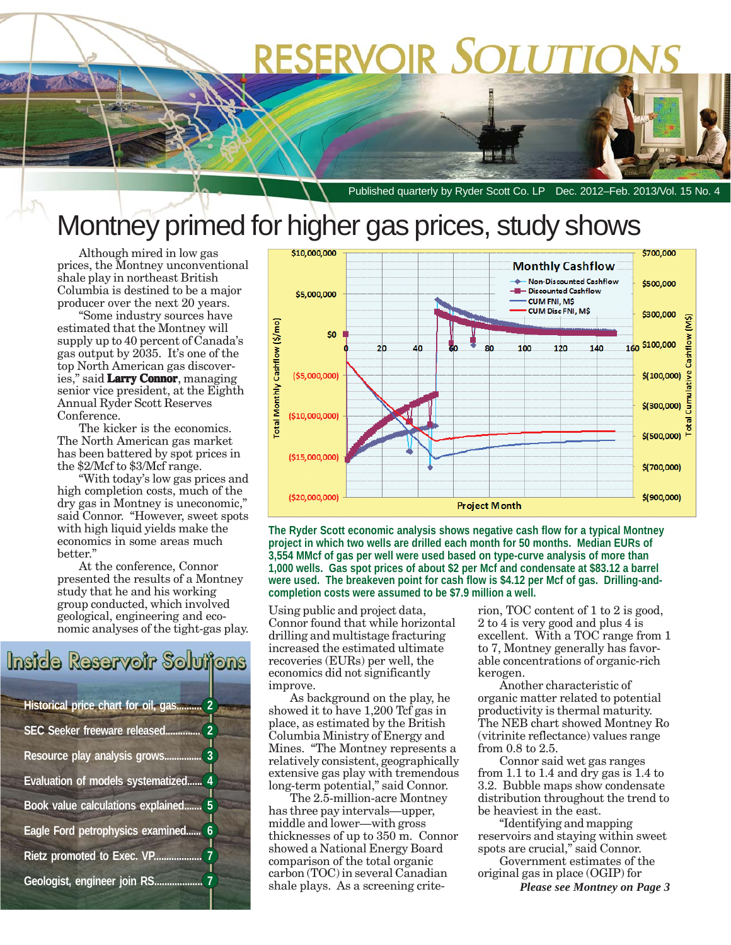# RESERVOIR SOLUTIO

Published quarterly by Ryder Scott Co. LP Dec. 2012–Feb. 2013/Vol. 15 No. 4

## Montney primed for higher gas prices, study shows

Although mired in low gas prices, the Montney unconventional shale play in northeast British Columbia is destined to be a major producer over the next 20 years.

"Some industry sources have estimated that the Montney will supply up to 40 percent of Canada's gas output by 2035. It's one of the top North American gas discoveries," said **Larry Connor**, managing senior vice president, at the Eighth Annual Ryder Scott Reserves Conference.

The kicker is the economics. The North American gas market has been battered by spot prices in the \$2/Mcf to \$3/Mcf range.

"With today's low gas prices and high completion costs, much of the dry gas in Montney is uneconomic," said Connor. "However, sweet spots with high liquid yields make the economics in some areas much better."

At the conference, Connor presented the results of a Montney study that he and his working group conducted, which involved geological, engineering and economic analyses of the tight-gas play.

# Inside Reservoir Solutions

| Historical price chart for oil, gas<br>$\overline{2}$ |
|-------------------------------------------------------|
| SEC Seeker freeware released.<br>$\overline{2}$       |
| 3<br>Resource play analysis grows.                    |
| Evaluation of models systematized<br>4                |
| 5<br><b>Book</b> value calculations explained         |
| Eagle Ford petrophysics examined<br>6                 |
| 7<br>Rietz promoted to Exec. VP.                      |
| $\overline{1}$<br>Geologist, engineer join RS         |



**The Ryder Scott economic analysis shows negative cash flow for a typical Montney project in which two wells are drilled each month for 50 months. Median EURs of 3,554 MMcf of gas per well were used based on type-curve analysis of more than 1,000 wells. Gas spot prices of about \$2 per Mcf and condensate at \$83.12 a barrel were used. The breakeven point for cash flow is \$4.12 per Mcf of gas. Drilling-andcompletion costs were assumed to be \$7.9 million a well.**

Using public and project data, Connor found that while horizontal drilling and multistage fracturing increased the estimated ultimate recoveries (EURs) per well, the economics did not significantly improve.

As background on the play, he showed it to have 1,200 Tcf gas in place, as estimated by the British Columbia Ministry of Energy and Mines. "The Montney represents a relatively consistent, geographically extensive gas play with tremendous long-term potential," said Connor.

The 2.5-million-acre Montney has three pay intervals—upper, middle and lower—with gross thicknesses of up to 350 m. Connor showed a National Energy Board comparison of the total organic carbon (TOC) in several Canadian shale plays. As a screening criterion, TOC content of 1 to 2 is good, 2 to 4 is very good and plus 4 is excellent. With a TOC range from 1 to 7, Montney generally has favorable concentrations of organic-rich kerogen.

Another characteristic of organic matter related to potential productivity is thermal maturity. The NEB chart showed Montney Ro (vitrinite reflectance) values range from 0.8 to 2.5.

Connor said wet gas ranges from 1.1 to 1.4 and dry gas is 1.4 to 3.2. Bubble maps show condensate distribution throughout the trend to be heaviest in the east.

"Identifying and mapping reservoirs and staying within sweet spots are crucial," said Connor. Government estimates of the

original gas in place (OGIP) for

*Please see Montney on Page 3*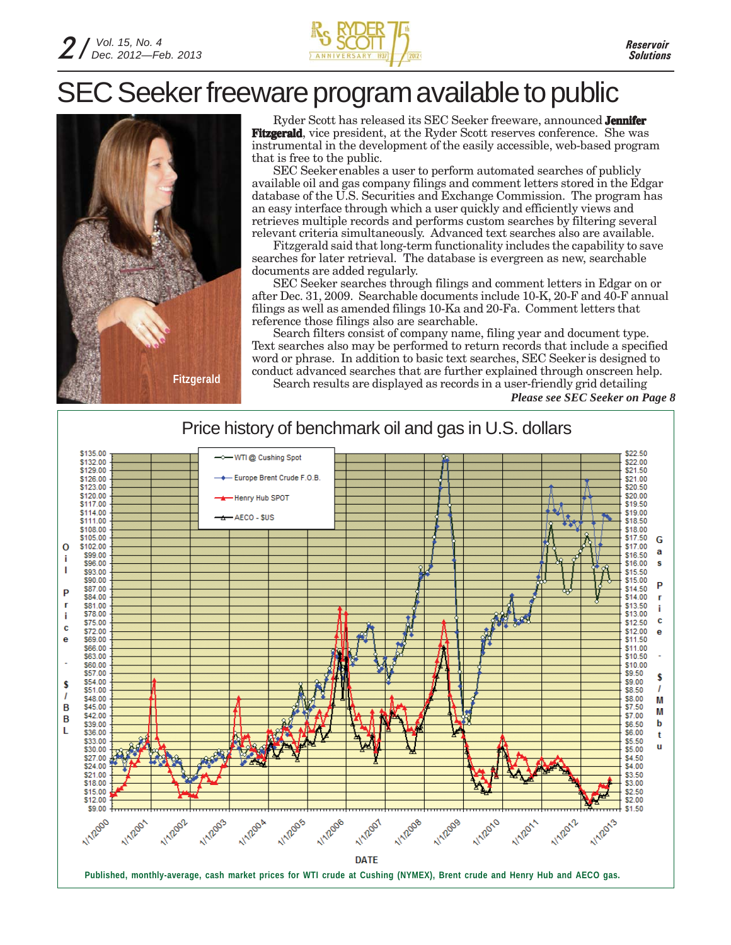

## SEC Seeker freeware program available to public



Ryder Scott has released its SEC Seeker freeware, announced **Jennifer Fitzgerald**, vice president, at the Ryder Scott reserves conference. She was instrumental in the development of the easily accessible, web-based program that is free to the public.

SEC Seeker enables a user to perform automated searches of publicly available oil and gas company filings and comment letters stored in the Edgar database of the U.S. Securities and Exchange Commission. The program has an easy interface through which a user quickly and efficiently views and retrieves multiple records and performs custom searches by filtering several relevant criteria simultaneously. Advanced text searches also are available.

Fitzgerald said that long-term functionality includes the capability to save searches for later retrieval. The database is evergreen as new, searchable documents are added regularly.

SEC Seeker searches through filings and comment letters in Edgar on or after Dec. 31, 2009. Searchable documents include 10-K, 20-F and 40-F annual filings as well as amended filings 10-Ka and 20-Fa. Comment letters that reference those filings also are searchable.

Search filters consist of company name, filing year and document type. Text searches also may be performed to return records that include a specified word or phrase. In addition to basic text searches, SEC Seeker is designed to conduct advanced searches that are further explained through onscreen help. Search results are displayed as records in a user-friendly grid detailing

*Please see SEC Seeker on Page 8*

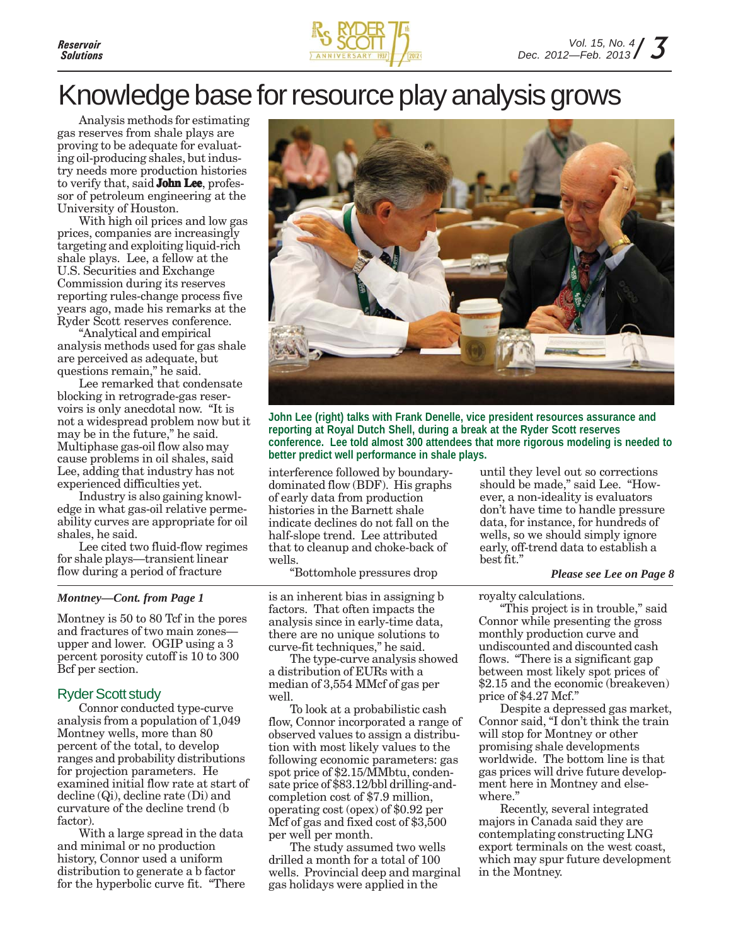

### Knowledge base for resource play analysis grows

Analysis methods for estimating gas reserves from shale plays are proving to be adequate for evaluating oil-producing shales, but industry needs more production histories to verify that, said **John Lee**, professor of petroleum engineering at the University of Houston.

With high oil prices and low gas prices, companies are increasingly targeting and exploiting liquid-rich shale plays. Lee, a fellow at the U.S. Securities and Exchange Commission during its reserves reporting rules-change process five years ago, made his remarks at the Ryder Scott reserves conference.

"Analytical and empirical analysis methods used for gas shale are perceived as adequate, but questions remain," he said.

Lee remarked that condensate blocking in retrograde-gas reservoirs is only anecdotal now. "It is not a widespread problem now but it may be in the future," he said. Multiphase gas-oil flow also may cause problems in oil shales, said Lee, adding that industry has not experienced difficulties yet.

Industry is also gaining knowledge in what gas-oil relative permeability curves are appropriate for oil shales, he said.

Lee cited two fluid-flow regimes for shale plays—transient linear flow during a period of fracture

#### *Montney—Cont. from Page 1*

Montney is 50 to 80 Tcf in the pores and fractures of two main zones upper and lower. OGIP using a 3 percent porosity cutoff is 10 to 300 Bcf per section.

### Ryder Scott study

Connor conducted type-curve analysis from a population of 1,049 Montney wells, more than 80 percent of the total, to develop ranges and probability distributions for projection parameters. He examined initial flow rate at start of decline (Qi), decline rate (Di) and curvature of the decline trend (b factor).

With a large spread in the data and minimal or no production history, Connor used a uniform distribution to generate a b factor for the hyperbolic curve fit. "There



**John Lee (right) talks with Frank Denelle, vice president resources assurance and reporting at Royal Dutch Shell, during a break at the Ryder Scott reserves conference. Lee told almost 300 attendees that more rigorous modeling is needed to better predict well performance in shale plays.**

interference followed by boundarydominated flow (BDF). His graphs of early data from production histories in the Barnett shale indicate declines do not fall on the half-slope trend. Lee attributed that to cleanup and choke-back of wells.

"Bottomhole pressures drop

is an inherent bias in assigning b factors. That often impacts the analysis since in early-time data, there are no unique solutions to curve-fit techniques," he said.

The type-curve analysis showed a distribution of EURs with a median of 3,554 MMcf of gas per well

To look at a probabilistic cash flow, Connor incorporated a range of observed values to assign a distribution with most likely values to the following economic parameters: gas spot price of \$2.15/MMbtu, condensate price of \$83.12/bbl drilling-andcompletion cost of \$7.9 million, operating cost (opex) of \$0.92 per Mcf of gas and fixed cost of \$3,500 per well per month.

The study assumed two wells drilled a month for a total of 100 wells. Provincial deep and marginal gas holidays were applied in the

until they level out so corrections should be made," said Lee. "However, a non-ideality is evaluators don't have time to handle pressure data, for instance, for hundreds of wells, so we should simply ignore early, off-trend data to establish a best fit."

#### *Please see Lee on Page 8*

royalty calculations.

"This project is in trouble," said Connor while presenting the gross monthly production curve and undiscounted and discounted cash flows. "There is a significant gap between most likely spot prices of \$2.15 and the economic (breakeven) price of \$4.27 Mcf."

Despite a depressed gas market, Connor said, "I don't think the train will stop for Montney or other promising shale developments worldwide. The bottom line is that gas prices will drive future development here in Montney and elsewhere."

Recently, several integrated majors in Canada said they are contemplating constructing LNG export terminals on the west coast, which may spur future development in the Montney.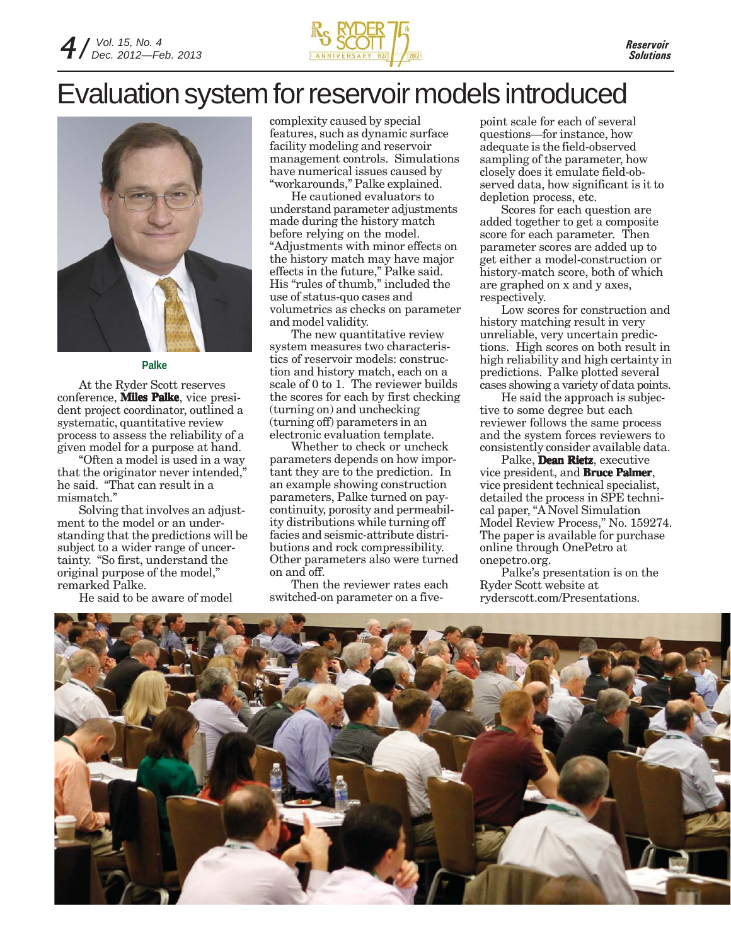

### Evaluation system for reservoir models introduced



#### **Palke**

At the Ryder Scott reserves conference, **Miles Palke**, vice president project coordinator, outlined a systematic, quantitative review process to assess the reliability of a given model for a purpose at hand.

"Often a model is used in a way that the originator never intended," he said. "That can result in a mismatch."

Solving that involves an adjustment to the model or an understanding that the predictions will be subject to a wider range of uncertainty. "So first, understand the original purpose of the model," remarked Palke.

He said to be aware of model

complexity caused by special features, such as dynamic surface facility modeling and reservoir management controls. Simulations have numerical issues caused by "workarounds," Palke explained.

He cautioned evaluators to understand parameter adjustments made during the history match before relying on the model. "Adjustments with minor effects on the history match may have major effects in the future," Palke said. His "rules of thumb," included the use of status-quo cases and volumetrics as checks on parameter and model validity.

The new quantitative review system measures two characteristics of reservoir models: construction and history match, each on a scale of 0 to 1. The reviewer builds the scores for each by first checking (turning on) and unchecking (turning off) parameters in an electronic evaluation template.

Whether to check or uncheck parameters depends on how important they are to the prediction. In an example showing construction parameters, Palke turned on paycontinuity, porosity and permeability distributions while turning off facies and seismic-attribute distributions and rock compressibility. Other parameters also were turned on and off.

Then the reviewer rates each switched-on parameter on a fivepoint scale for each of several questions—for instance, how adequate is the field-observed sampling of the parameter, how closely does it emulate field-observed data, how significant is it to depletion process, etc.

Scores for each question are added together to get a composite score for each parameter. Then parameter scores are added up to get either a model-construction or history-match score, both of which are graphed on x and y axes, respectively.

Low scores for construction and history matching result in very unreliable, very uncertain predictions. High scores on both result in high reliability and high certainty in predictions. Palke plotted several cases showing a variety of data points.

He said the approach is subjective to some degree but each reviewer follows the same process and the system forces reviewers to consistently consider available data.

Palke, **Dean Rietz**, executive vice president, and **Bruce Palmer**, vice president technical specialist, detailed the process in SPE technical paper, "A Novel Simulation Model Review Process," No. 159274. The paper is available for purchase online through OnePetro at onepetro.org.

Palke's presentation is on the Ryder Scott website at ryderscott.com/Presentations.

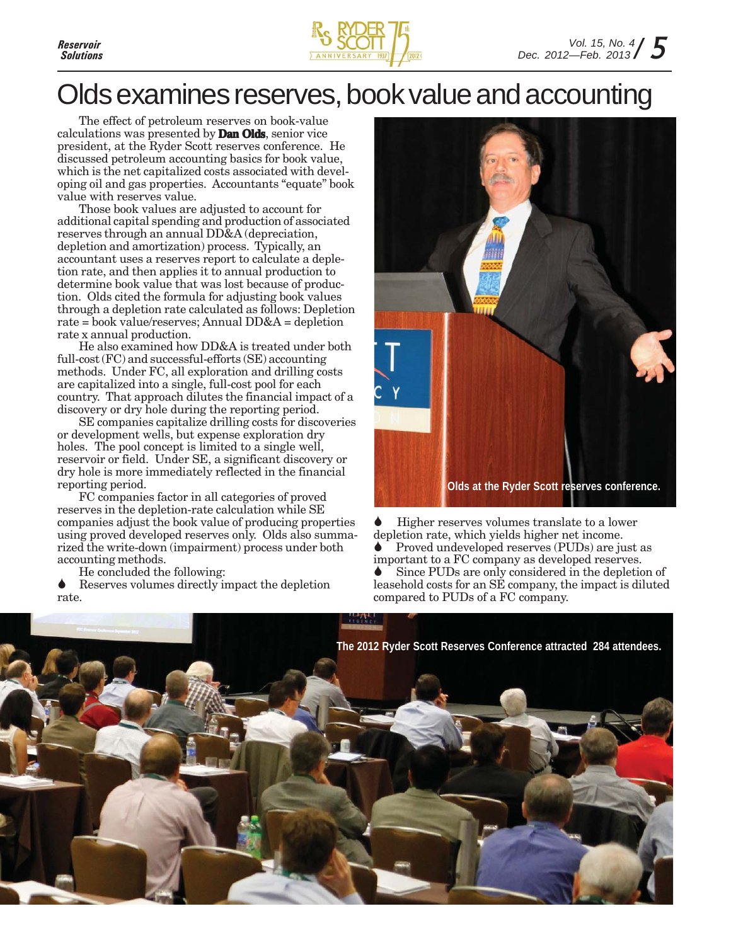

### Olds examines reserves, book value and accounting

The effect of petroleum reserves on book-value calculations was presented by **Dan Olds**, senior vice president, at the Ryder Scott reserves conference. He discussed petroleum accounting basics for book value, which is the net capitalized costs associated with developing oil and gas properties. Accountants "equate" book value with reserves value.

Those book values are adjusted to account for additional capital spending and production of associated reserves through an annual DD&A (depreciation, depletion and amortization) process. Typically, an accountant uses a reserves report to calculate a depletion rate, and then applies it to annual production to determine book value that was lost because of production. Olds cited the formula for adjusting book values through a depletion rate calculated as follows: Depletion rate = book value/reserves; Annual DD&A = depletion rate x annual production.

He also examined how DD&A is treated under both full-cost (FC) and successful-efforts (SE) accounting methods. Under FC, all exploration and drilling costs are capitalized into a single, full-cost pool for each country. That approach dilutes the financial impact of a discovery or dry hole during the reporting period.

SE companies capitalize drilling costs for discoveries or development wells, but expense exploration dry holes. The pool concept is limited to a single well, reservoir or field. Under SE, a significant discovery or dry hole is more immediately reflected in the financial reporting period.

FC companies factor in all categories of proved reserves in the depletion-rate calculation while SE companies adjust the book value of producing properties using proved developed reserves only. Olds also summarized the write-down (impairment) process under both accounting methods.

He concluded the following:

Reserves volumes directly impact the depletion rate.



Higher reserves volumes translate to a lower depletion rate, which yields higher net income.

Proved undeveloped reserves (PUDs) are just as important to a FC company as developed reserves.

Since PUDs are only considered in the depletion of leasehold costs for an SE company, the impact is diluted compared to PUDs of a FC company.

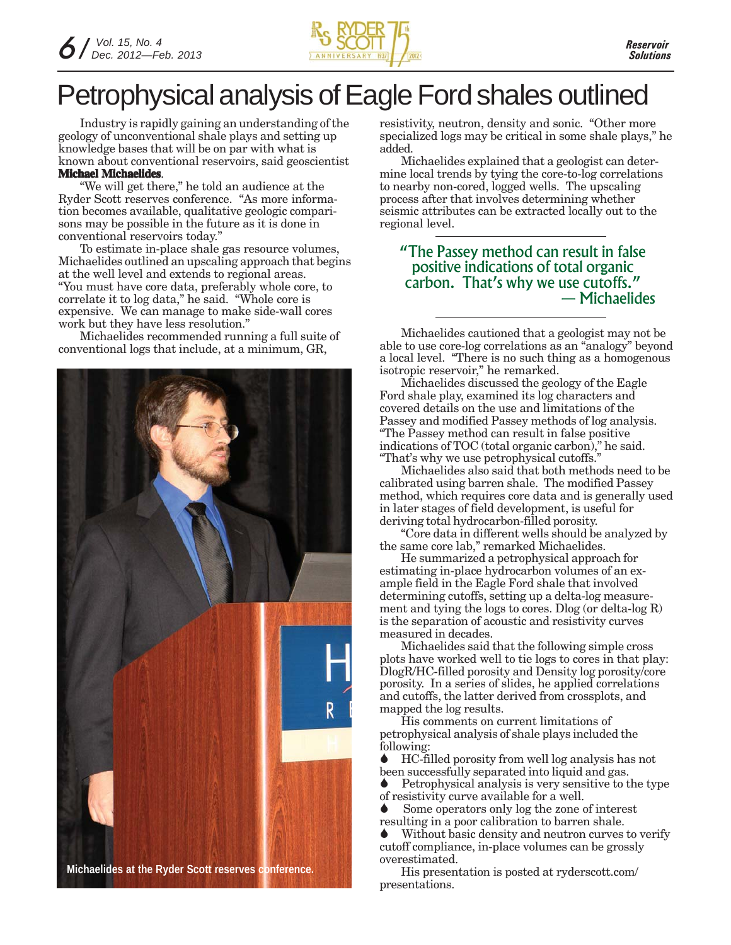

## Petrophysical analysis of Eagle Ford shales outlined

Industry is rapidly gaining an understanding of the geology of unconventional shale plays and setting up knowledge bases that will be on par with what is known about conventional reservoirs, said geoscientist **Michael Michaelides**.

### "We will get there," he told an audience at the Ryder Scott reserves conference. "As more information becomes available, qualitative geologic compari-

sons may be possible in the future as it is done in conventional reservoirs today." To estimate in-place shale gas resource volumes, Michaelides outlined an upscaling approach that begins at the well level and extends to regional areas. "You must have core data, preferably whole core, to

correlate it to log data," he said. "Whole core is expensive. We can manage to make side-wall cores work but they have less resolution."

Michaelides recommended running a full suite of conventional logs that include, at a minimum, GR,



resistivity, neutron, density and sonic. "Other more specialized logs may be critical in some shale plays," he added.

Michaelides explained that a geologist can determine local trends by tying the core-to-log correlations to nearby non-cored, logged wells. The upscaling process after that involves determining whether seismic attributes can be extracted locally out to the regional level.

### "The Passey method can result in false positive indications of total organic carbon. That's why we use cutoffs." — Michaelides

Michaelides cautioned that a geologist may not be able to use core-log correlations as an "analogy" beyond a local level. "There is no such thing as a homogenous isotropic reservoir," he remarked.

Michaelides discussed the geology of the Eagle Ford shale play, examined its log characters and covered details on the use and limitations of the Passey and modified Passey methods of log analysis. "The Passey method can result in false positive indications of TOC (total organic carbon)," he said. "That's why we use petrophysical cutoffs.

Michaelides also said that both methods need to be calibrated using barren shale. The modified Passey method, which requires core data and is generally used in later stages of field development, is useful for deriving total hydrocarbon-filled porosity.

"Core data in different wells should be analyzed by the same core lab," remarked Michaelides.

He summarized a petrophysical approach for estimating in-place hydrocarbon volumes of an example field in the Eagle Ford shale that involved determining cutoffs, setting up a delta-log measurement and tying the logs to cores. Dlog (or delta-log R) is the separation of acoustic and resistivity curves measured in decades.

Michaelides said that the following simple cross plots have worked well to tie logs to cores in that play: DlogR/HC-filled porosity and Density log porosity/core porosity. In a series of slides, he applied correlations and cutoffs, the latter derived from crossplots, and mapped the log results.

His comments on current limitations of petrophysical analysis of shale plays included the following:

HC-filled porosity from well log analysis has not been successfully separated into liquid and gas.

Petrophysical analysis is very sensitive to the type of resistivity curve available for a well.

Some operators only log the zone of interest resulting in a poor calibration to barren shale.

Without basic density and neutron curves to verify cutoff compliance, in-place volumes can be grossly overestimated.

His presentation is posted at ryderscott.com/ presentations.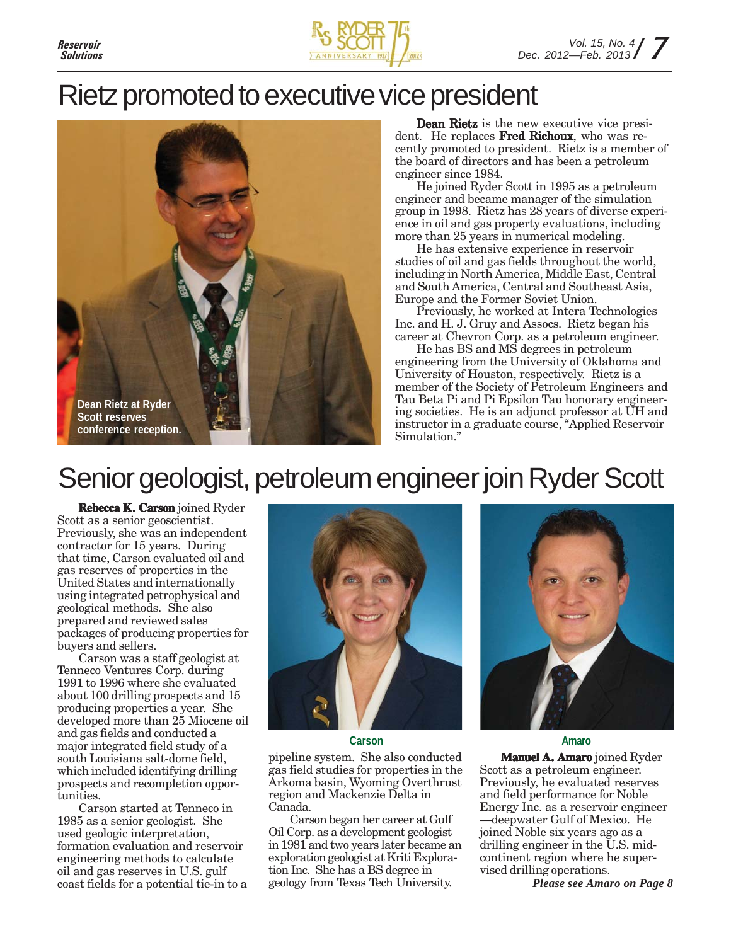

### Rietz promoted to executive vice president



Dean Rietz is the new executive vice president. He replaces Fred Richoux, who was recently promoted to president. Rietz is a member of the board of directors and has been a petroleum engineer since 1984.

He joined Ryder Scott in 1995 as a petroleum engineer and became manager of the simulation group in 1998. Rietz has 28 years of diverse experience in oil and gas property evaluations, including more than 25 years in numerical modeling.

He has extensive experience in reservoir studies of oil and gas fields throughout the world, including in North America, Middle East, Central and South America, Central and Southeast Asia, Europe and the Former Soviet Union.

Previously, he worked at Intera Technologies Inc. and H. J. Gruy and Assocs. Rietz began his career at Chevron Corp. as a petroleum engineer.

He has BS and MS degrees in petroleum engineering from the University of Oklahoma and University of Houston, respectively. Rietz is a member of the Society of Petroleum Engineers and Tau Beta Pi and Pi Epsilon Tau honorary engineering societies. He is an adjunct professor at UH and instructor in a graduate course, "Applied Reservoir Simulation."

## Senior geologist, petroleum engineer join Ryder Scott

**Rebecca K. Carson** joined Ryder Scott as a senior geoscientist. Previously, she was an independent contractor for 15 years. During that time, Carson evaluated oil and gas reserves of properties in the United States and internationally using integrated petrophysical and geological methods. She also prepared and reviewed sales packages of producing properties for buyers and sellers.

Carson was a staff geologist at Tenneco Ventures Corp. during 1991 to 1996 where she evaluated about 100 drilling prospects and 15 producing properties a year. She developed more than 25 Miocene oil and gas fields and conducted a major integrated field study of a south Louisiana salt-dome field, which included identifying drilling prospects and recompletion opportunities.

Carson started at Tenneco in 1985 as a senior geologist. She used geologic interpretation, formation evaluation and reservoir engineering methods to calculate oil and gas reserves in U.S. gulf coast fields for a potential tie-in to a



**Carson Amaro**

pipeline system. She also conducted gas field studies for properties in the Arkoma basin, Wyoming Overthrust region and Mackenzie Delta in Canada.

Carson began her career at Gulf Oil Corp. as a development geologist in 1981 and two years later became an exploration geologist at Kriti Exploration Inc. She has a BS degree in geology from Texas Tech University.



**Manuel A. Amaro** joined Ryder Scott as a petroleum engineer. Previously, he evaluated reserves and field performance for Noble Energy Inc. as a reservoir engineer —deepwater Gulf of Mexico. He joined Noble six years ago as a drilling engineer in the U.S. midcontinent region where he supervised drilling operations.

*Please see Amaro on Page 8*